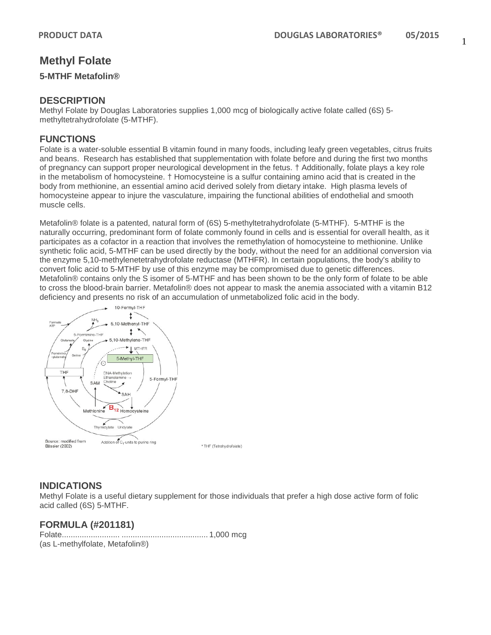# **Methyl Folate**

#### **5-MTHF Metafolin®**

## **DESCRIPTION**

Methyl Folate by Douglas Laboratories supplies 1,000 mcg of biologically active folate called (6S) 5methyltetrahydrofolate (5-MTHF).

## **FUNCTIONS**

Folate is a water-soluble essential B vitamin found in many foods, including leafy green vegetables, citrus fruits and beans. Research has established that supplementation with folate before and during the first two months of pregnancy can support proper neurological development in the fetus. † Additionally, folate plays a key role in the metabolism of homocysteine. † Homocysteine is a sulfur containing amino acid that is created in the body from methionine, an essential amino acid derived solely from dietary intake. High plasma levels of homocysteine appear to injure the vasculature, impairing the functional abilities of endothelial and smooth muscle cells.

Metafolin® folate is a patented, natural form of (6S) 5-methyltetrahydrofolate (5-MTHF). 5-MTHF is the naturally occurring, predominant form of folate commonly found in cells and is essential for overall health, as it participates as a cofactor in a reaction that involves the remethylation of homocysteine to methionine. Unlike synthetic folic acid, 5-MTHF can be used directly by the body, without the need for an additional conversion via the enzyme 5,10-methylenetetrahydrofolate reductase (MTHFR). In certain populations, the body's ability to convert folic acid to 5-MTHF by use of this enzyme may be compromised due to genetic differences. Metafolin® contains only the S isomer of 5-MTHF and has been shown to be the only form of folate to be able to cross the blood-brain barrier. Metafolin® does not appear to mask the anemia associated with a vitamin B12 deficiency and presents no risk of an accumulation of unmetabolized folic acid in the body.



\* THF (Tetrahydrofolate)

# **INDICATIONS**

Methyl Folate is a useful dietary supplement for those individuals that prefer a high dose active form of folic acid called (6S) 5-MTHF.

## **FORMULA (#201181)**

Folate.......................... ....................................... 1,000 mcg (as L-methylfolate, Metafolin®)